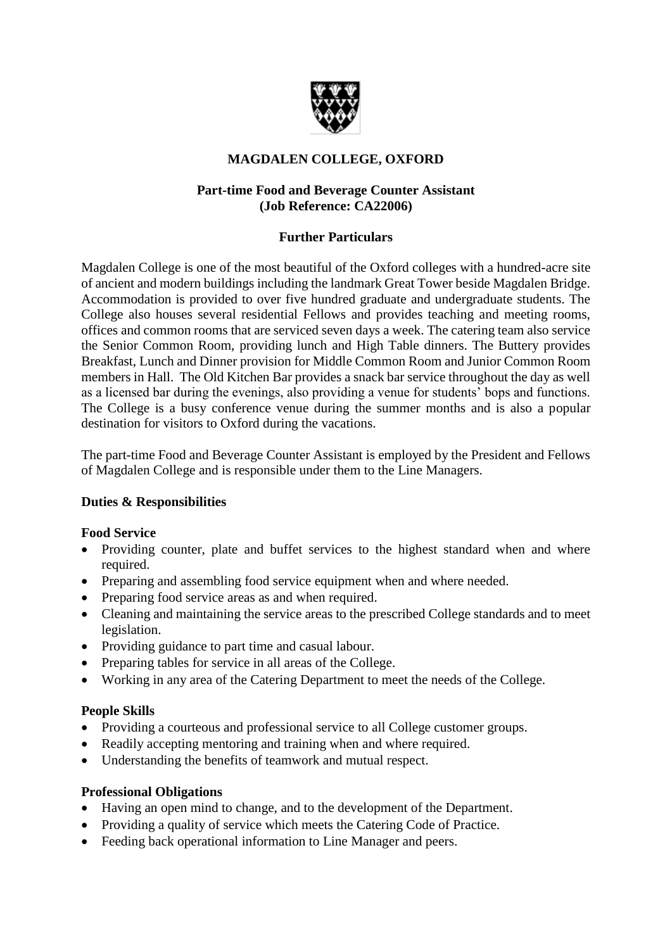

# **MAGDALEN COLLEGE, OXFORD**

# **Part-time Food and Beverage Counter Assistant (Job Reference: CA22006)**

# **Further Particulars**

Magdalen College is one of the most beautiful of the Oxford colleges with a hundred-acre site of ancient and modern buildings including the landmark Great Tower beside Magdalen Bridge. Accommodation is provided to over five hundred graduate and undergraduate students. The College also houses several residential Fellows and provides teaching and meeting rooms, offices and common rooms that are serviced seven days a week. The catering team also service the Senior Common Room, providing lunch and High Table dinners. The Buttery provides Breakfast, Lunch and Dinner provision for Middle Common Room and Junior Common Room members in Hall. The Old Kitchen Bar provides a snack bar service throughout the day as well as a licensed bar during the evenings, also providing a venue for students' bops and functions. The College is a busy conference venue during the summer months and is also a popular destination for visitors to Oxford during the vacations.

The part-time Food and Beverage Counter Assistant is employed by the President and Fellows of Magdalen College and is responsible under them to the Line Managers.

# **Duties & Responsibilities**

# **Food Service**

- Providing counter, plate and buffet services to the highest standard when and where required.
- Preparing and assembling food service equipment when and where needed.
- Preparing food service areas as and when required.
- Cleaning and maintaining the service areas to the prescribed College standards and to meet legislation.
- Providing guidance to part time and casual labour.
- Preparing tables for service in all areas of the College.
- Working in any area of the Catering Department to meet the needs of the College.

# **People Skills**

- Providing a courteous and professional service to all College customer groups.
- Readily accepting mentoring and training when and where required.
- Understanding the benefits of teamwork and mutual respect.

#### **Professional Obligations**

- Having an open mind to change, and to the development of the Department.
- Providing a quality of service which meets the Catering Code of Practice.
- Feeding back operational information to Line Manager and peers.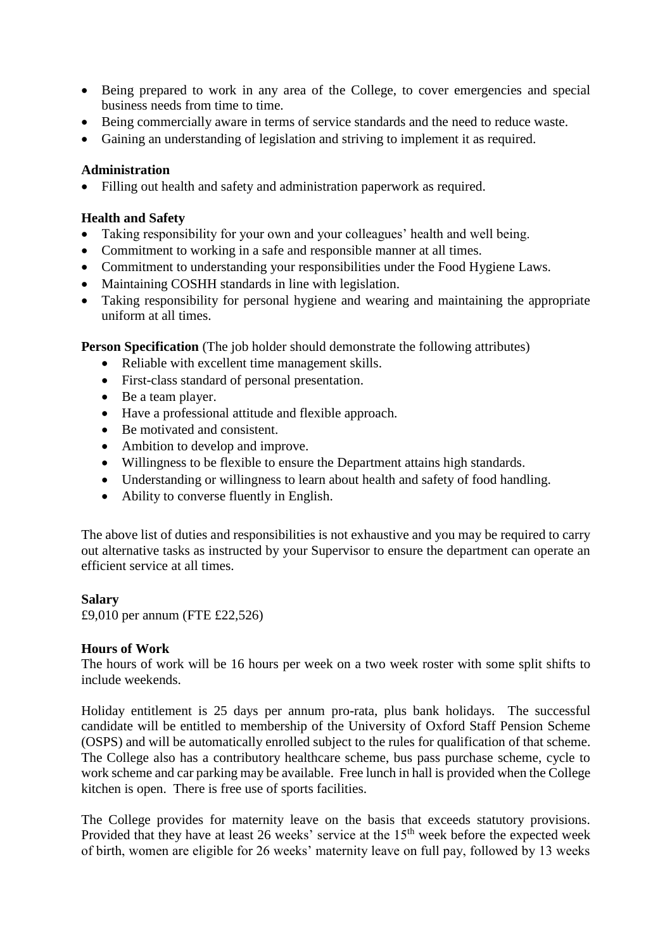- Being prepared to work in any area of the College, to cover emergencies and special business needs from time to time.
- Being commercially aware in terms of service standards and the need to reduce waste.
- Gaining an understanding of legislation and striving to implement it as required.

#### **Administration**

Filling out health and safety and administration paperwork as required.

#### **Health and Safety**

- Taking responsibility for your own and your colleagues' health and well being.
- Commitment to working in a safe and responsible manner at all times.
- Commitment to understanding your responsibilities under the Food Hygiene Laws.
- Maintaining COSHH standards in line with legislation.
- Taking responsibility for personal hygiene and wearing and maintaining the appropriate uniform at all times.

**Person Specification** (The job holder should demonstrate the following attributes)

- Reliable with excellent time management skills.
- First-class standard of personal presentation.
- Be a team player.
- Have a professional attitude and flexible approach.
- Be motivated and consistent.
- Ambition to develop and improve.
- Willingness to be flexible to ensure the Department attains high standards.
- Understanding or willingness to learn about health and safety of food handling.
- Ability to converse fluently in English.

The above list of duties and responsibilities is not exhaustive and you may be required to carry out alternative tasks as instructed by your Supervisor to ensure the department can operate an efficient service at all times.

#### **Salary**

£9,010 per annum (FTE £22,526)

#### **Hours of Work**

The hours of work will be 16 hours per week on a two week roster with some split shifts to include weekends.

Holiday entitlement is 25 days per annum pro-rata, plus bank holidays. The successful candidate will be entitled to membership of the University of Oxford Staff Pension Scheme (OSPS) and will be automatically enrolled subject to the rules for qualification of that scheme. The College also has a contributory healthcare scheme, bus pass purchase scheme, cycle to work scheme and car parking may be available. Free lunch in hall is provided when the College kitchen is open. There is free use of sports facilities.

The College provides for maternity leave on the basis that exceeds statutory provisions. Provided that they have at least 26 weeks' service at the 15<sup>th</sup> week before the expected week of birth, women are eligible for 26 weeks' maternity leave on full pay, followed by 13 weeks